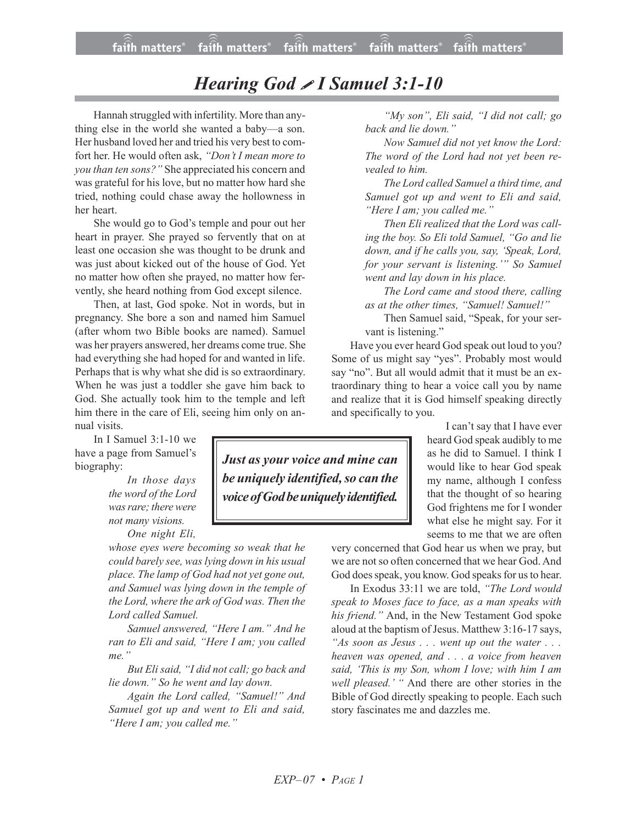## *Hearing God I Samuel 3:1-10*

Hannah struggled with infertility. More than anything else in the world she wanted a baby—a son. Her husband loved her and tried his very best to comfort her. He would often ask, *"Don't I mean more to you than ten sons?"* She appreciated his concern and was grateful for his love, but no matter how hard she tried, nothing could chase away the hollowness in her heart.

She would go to God's temple and pour out her heart in prayer. She prayed so fervently that on at least one occasion she was thought to be drunk and was just about kicked out of the house of God. Yet no matter how often she prayed, no matter how fervently, she heard nothing from God except silence.

Then, at last, God spoke. Not in words, but in pregnancy. She bore a son and named him Samuel (after whom two Bible books are named). Samuel was her prayers answered, her dreams come true. She had everything she had hoped for and wanted in life. Perhaps that is why what she did is so extraordinary. When he was just a toddler she gave him back to God. She actually took him to the temple and left him there in the care of Eli, seeing him only on annual visits.

In I Samuel 3:1-10 we have a page from Samuel's biography:

> *In those days the word of the Lord* was rare; there were *not many visions.*

> > *One night Eli,*

*whose eyes were becoming so weak that he could barely see, was lying down in his usual place. The lamp of God had not yet gone out, and Samuel was lying down in the temple of the Lord, where the ark of God was. Then the Lord called Samuel.*

*Samuel answered, "Here I am." And he ran to Eli and said, "Here I am; you called me."*

*But Eli said, "I did not call; go back and lie down." So he went and lay down.*

*Again the Lord called, "Samuel!" And Samuel got up and went to Eli and said, "Here I am; you called me."*

*Just as your voice and mine can be uniquely identified,so can the voice of God be uniquely identified.* 

*"My son", Eli said, "I did not call; go back and lie down."*

*Now Samuel did not yet know the Lord: The word of the Lord had not yet been revealed to him.*

*The Lord called Samuel a third time, and Samuel got up and went to Eli and said, "Here I am; you called me."*

*Then Eli realized that the Lord was calling the boy. So Eli told Samuel, "Go and lie down, and if he calls you, say, 'Speak, Lord, for your servant is listening.'" So Samuel went and lay down in his place.*

*The Lord came and stood there, calling as at the other times, "Samuel! Samuel!"*

Then Samuel said, "Speak, for your servant is listening."

Have you ever heard God speak out loud to you? Some of us might say "yes". Probably most would say "no". But all would admit that it must be an extraordinary thing to hear a voice call you by name and realize that it is God himself speaking directly and specifically to you.

> I can't say that I have ever heard God speak audibly to me as he did to Samuel. I think I would like to hear God speak my name, although I confess that the thought of so hearing God frightens me for I wonder what else he might say. For it seems to me that we are often

very concerned that God hear us when we pray, but we are not so often concerned that we hear God. And God does speak, you know. God speaks for us to hear.

In Exodus 33:11 we are told, *"The Lord would speak to Moses face to face, as a man speaks with his friend."* And, in the New Testament God spoke aloud at the baptism of Jesus. Matthew 3:16-17 says, *"As soon as Jesus . . . went up out the water . . . heaven was opened, and . . . a voice from heaven said, 'This is my Son, whom I love; with him I am well pleased.' "* And there are other stories in the Bible of God directly speaking to people. Each such story fascinates me and dazzles me.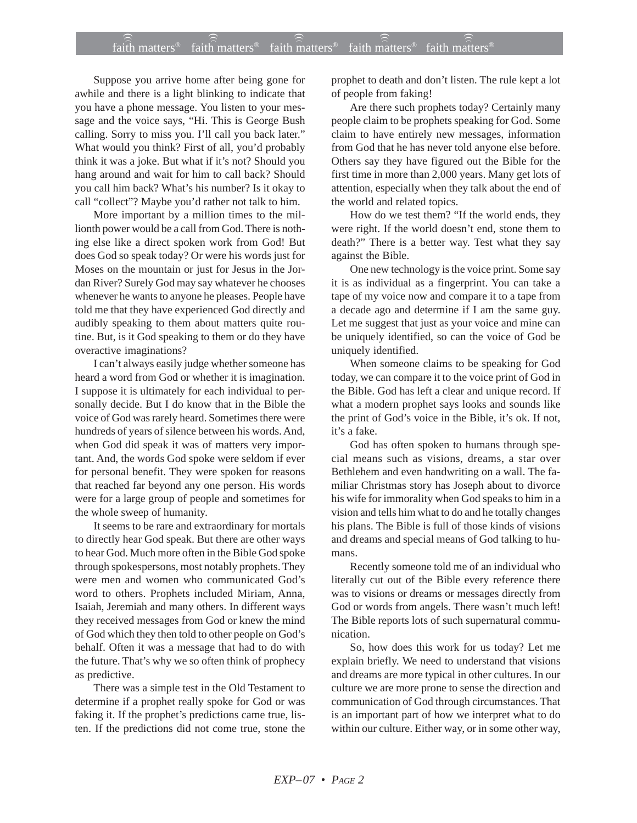## $f$ ait $\widehat{h}$  matters® faith $\widehat{h}$  matters® faith matters® faith matters® faith matters®

Suppose you arrive home after being gone for awhile and there is a light blinking to indicate that you have a phone message. You listen to your message and the voice says, "Hi. This is George Bush calling. Sorry to miss you. I'll call you back later." What would you think? First of all, you'd probably think it was a joke. But what if it's not? Should you hang around and wait for him to call back? Should you call him back? What's his number? Is it okay to call "collect"? Maybe you'd rather not talk to him.

More important by a million times to the millionth power would be a call from God. There is nothing else like a direct spoken work from God! But does God so speak today? Or were his words just for Moses on the mountain or just for Jesus in the Jordan River? Surely God may say whatever he chooses whenever he wants to anyone he pleases. People have told me that they have experienced God directly and audibly speaking to them about matters quite routine. But, is it God speaking to them or do they have overactive imaginations?

I can't always easily judge whether someone has heard a word from God or whether it is imagination. I suppose it is ultimately for each individual to personally decide. But I do know that in the Bible the voice of God was rarely heard. Sometimes there were hundreds of years of silence between his words. And, when God did speak it was of matters very important. And, the words God spoke were seldom if ever for personal benefit. They were spoken for reasons that reached far beyond any one person. His words were for a large group of people and sometimes for the whole sweep of humanity.

It seems to be rare and extraordinary for mortals to directly hear God speak. But there are other ways to hear God. Much more often in the Bible God spoke through spokespersons, most notably prophets. They were men and women who communicated God's word to others. Prophets included Miriam, Anna, Isaiah, Jeremiah and many others. In different ways they received messages from God or knew the mind of God which they then told to other people on God's behalf. Often it was a message that had to do with the future. That's why we so often think of prophecy as predictive.

There was a simple test in the Old Testament to determine if a prophet really spoke for God or was faking it. If the prophet's predictions came true, listen. If the predictions did not come true, stone the prophet to death and don't listen. The rule kept a lot of people from faking!

Are there such prophets today? Certainly many people claim to be prophets speaking for God. Some claim to have entirely new messages, information from God that he has never told anyone else before. Others say they have figured out the Bible for the first time in more than 2,000 years. Many get lots of attention, especially when they talk about the end of the world and related topics.

How do we test them? "If the world ends, they were right. If the world doesn't end, stone them to death?" There is a better way. Test what they say against the Bible.

One new technology is the voice print. Some say it is as individual as a fingerprint. You can take a tape of my voice now and compare it to a tape from a decade ago and determine if I am the same guy. Let me suggest that just as your voice and mine can be uniquely identified, so can the voice of God be uniquely identified.

When someone claims to be speaking for God today, we can compare it to the voice print of God in the Bible. God has left a clear and unique record. If what a modern prophet says looks and sounds like the print of God's voice in the Bible, it's ok. If not, it's a fake.

God has often spoken to humans through special means such as visions, dreams, a star over Bethlehem and even handwriting on a wall. The familiar Christmas story has Joseph about to divorce his wife for immorality when God speaks to him in a vision and tells him what to do and he totally changes his plans. The Bible is full of those kinds of visions and dreams and special means of God talking to humans.

Recently someone told me of an individual who literally cut out of the Bible every reference there was to visions or dreams or messages directly from God or words from angels. There wasn't much left! The Bible reports lots of such supernatural communication.

So, how does this work for us today? Let me explain briefly. We need to understand that visions and dreams are more typical in other cultures. In our culture we are more prone to sense the direction and communication of God through circumstances. That is an important part of how we interpret what to do within our culture. Either way, or in some other way,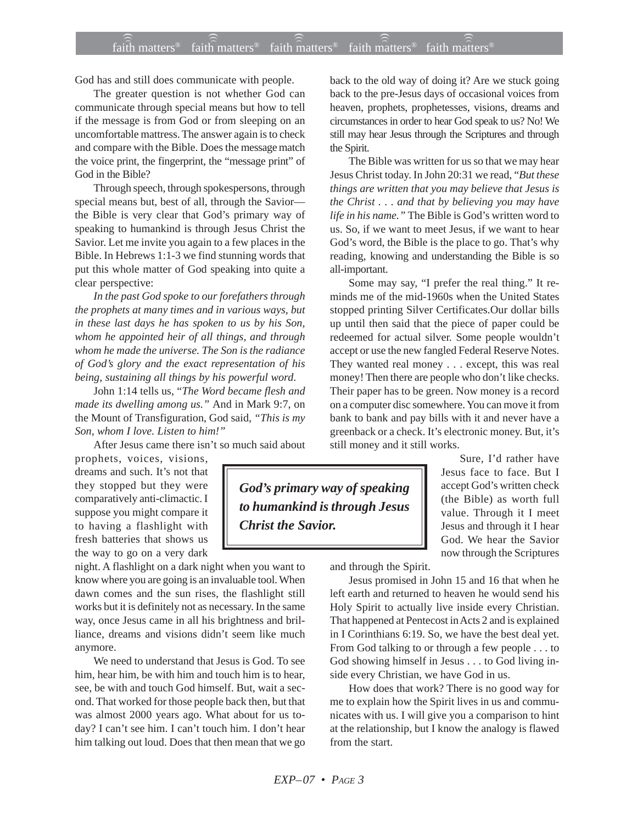## $f$ ait $\widehat{h}$  matters® faith $\widehat{h}$  matters® faith matters® faith matters® faith matters®

God has and still does communicate with people.

The greater question is not whether God can communicate through special means but how to tell if the message is from God or from sleeping on an uncomfortable mattress. The answer again is to check and compare with the Bible. Does the message match the voice print, the fingerprint, the "message print" of God in the Bible?

Through speech, through spokespersons, through special means but, best of all, through the Savior the Bible is very clear that God's primary way of speaking to humankind is through Jesus Christ the Savior. Let me invite you again to a few places in the Bible. In Hebrews 1:1-3 we find stunning words that put this whole matter of God speaking into quite a clear perspective:

*In the past God spoke to our forefathers through the prophets at many times and in various ways, but in these last days he has spoken to us by his Son, whom he appointed heir of all things, and through whom he made the universe. The Son is the radiance of God's glory and the exact representation of his being, sustaining all things by his powerful word*.

John 1:14 tells us, "*The Word became flesh and made its dwelling among us."* And in Mark 9:7, on the Mount of Transfiguration, God said*, "This is my Son, whom I love. Listen to him!"*

After Jesus came there isn't so much said about

prophets, voices, visions, dreams and such. It's not that they stopped but they were comparatively anti-climactic. I suppose you might compare it to having a flashlight with fresh batteries that shows us the way to go on a very dark

night. A flashlight on a dark night when you want to know where you are going is an invaluable tool. When dawn comes and the sun rises, the flashlight still works but it is definitely not as necessary. In the same way, once Jesus came in all his brightness and brilliance, dreams and visions didn't seem like much anymore.

We need to understand that Jesus is God. To see him, hear him, be with him and touch him is to hear, see, be with and touch God himself. But, wait a second. That worked for those people back then, but that was almost 2000 years ago. What about for us today? I can't see him. I can't touch him. I don't hear him talking out loud. Does that then mean that we go

back to the old way of doing it? Are we stuck going back to the pre-Jesus days of occasional voices from heaven, prophets, prophetesses, visions, dreams and circumstances in order to hear God speak to us? No! We still may hear Jesus through the Scriptures and through the Spirit.

The Bible was written for us so that we may hear Jesus Christ today. In John 20:31 we read, "*But these things are written that you may believe that Jesus is the Christ . . . and that by believing you may have life in his name."* The Bible is God's written word to us. So, if we want to meet Jesus, if we want to hear God's word, the Bible is the place to go. That's why reading, knowing and understanding the Bible is so all-important.

Some may say, "I prefer the real thing." It reminds me of the mid-1960s when the United States stopped printing Silver Certificates.Our dollar bills up until then said that the piece of paper could be redeemed for actual silver. Some people wouldn't accept or use the new fangled Federal Reserve Notes. They wanted real money . . . except, this was real money! Then there are people who don't like checks. Their paper has to be green. Now money is a record on a computer disc somewhere. You can move it from bank to bank and pay bills with it and never have a greenback or a check. It's electronic money. But, it's still money and it still works.

*God's primary way of speaking to humankind is through Jesus Christ the Savior.*

Sure, I'd rather have Jesus face to face. But I accept God's written check (the Bible) as worth full value. Through it I meet Jesus and through it I hear God. We hear the Savior now through the Scriptures

and through the Spirit.

Jesus promised in John 15 and 16 that when he left earth and returned to heaven he would send his Holy Spirit to actually live inside every Christian. That happened at Pentecost in Acts 2 and is explained in I Corinthians 6:19. So, we have the best deal yet. From God talking to or through a few people . . . to God showing himself in Jesus . . . to God living inside every Christian, we have God in us.

How does that work? There is no good way for me to explain how the Spirit lives in us and communicates with us. I will give you a comparison to hint at the relationship, but I know the analogy is flawed from the start.